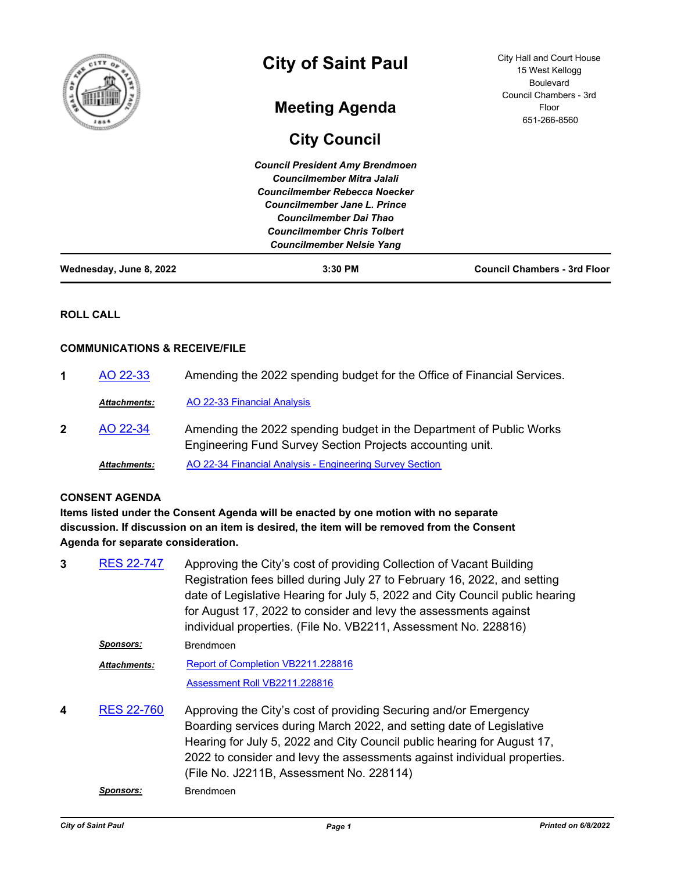| Wednesday, June 8, 2022 | $3:30$ PM                              | <b>Council Chambers - 3rd Floor</b> |
|-------------------------|----------------------------------------|-------------------------------------|
|                         | <b>Councilmember Nelsie Yang</b>       |                                     |
|                         | <b>Councilmember Chris Tolbert</b>     |                                     |
|                         | Councilmember Dai Thao                 |                                     |
|                         | Councilmember Jane L. Prince           |                                     |
|                         | Councilmember Rebecca Noecker          |                                     |
|                         | <b>Councilmember Mitra Jalali</b>      |                                     |
|                         | <b>Council President Amy Brendmoen</b> |                                     |
|                         | <b>City Council</b>                    |                                     |
|                         |                                        | 651-266-8560                        |
|                         | <b>Meeting Agenda</b>                  | Floor                               |
| តិ                      |                                        | Council Chambers - 3rd              |
| f                       |                                        | 15 West Kellogg<br><b>Boulevard</b> |
|                         | <b>City of Saint Paul</b>              | City Hall and Court House           |
|                         |                                        |                                     |

# **ROLL CALL**

## **COMMUNICATIONS & RECEIVE/FILE**

**1** [AO 22-33](http://stpaul.legistar.com/gateway.aspx?m=l&id=/matter.aspx?key=41901) Amending the 2022 spending budget for the Office of Financial Services. *Attachments:* [AO 22-33 Financial Analysis](http://StPaul.legistar.com/gateway.aspx?M=F&ID=0ac07463-1d58-4c58-a046-8592685a7f9f.pdf) Amending the 2022 spending budget in the Department of Public Works Engineering Fund Survey Section Projects accounting unit. **2** [AO 22-34](http://stpaul.legistar.com/gateway.aspx?m=l&id=/matter.aspx?key=41906) *Attachments:* [AO 22-34 Financial Analysis - Engineering Survey Section](http://StPaul.legistar.com/gateway.aspx?M=F&ID=55b81b03-7ac2-4c01-8ed8-51938d2a760e.xlsx)

# **CONSENT AGENDA**

**Items listed under the Consent Agenda will be enacted by one motion with no separate discussion. If discussion on an item is desired, the item will be removed from the Consent Agenda for separate consideration.**

Approving the City's cost of providing Collection of Vacant Building Registration fees billed during July 27 to February 16, 2022, and setting date of Legislative Hearing for July 5, 2022 and City Council public hearing for August 17, 2022 to consider and levy the assessments against individual properties. (File No. VB2211, Assessment No. 228816) **3** [RES 22-747](http://stpaul.legistar.com/gateway.aspx?m=l&id=/matter.aspx?key=41795) *Sponsors:* Brendmoen [Report of Completion VB2211.228816](http://StPaul.legistar.com/gateway.aspx?M=F&ID=db44f505-df2f-48b6-9a33-5d9d33aaf7dd.pdf) [Assessment Roll VB2211.228816](http://StPaul.legistar.com/gateway.aspx?M=F&ID=4746d976-ccee-4add-ae4f-199e87cbb0fc.pdf) *Attachments:* Approving the City's cost of providing Securing and/or Emergency Boarding services during March 2022, and setting date of Legislative Hearing for July 5, 2022 and City Council public hearing for August 17, 2022 to consider and levy the assessments against individual properties. (File No. J2211B, Assessment No. 228114) **4** [RES 22-760](http://stpaul.legistar.com/gateway.aspx?m=l&id=/matter.aspx?key=41810) *Sponsors:* Brendmoen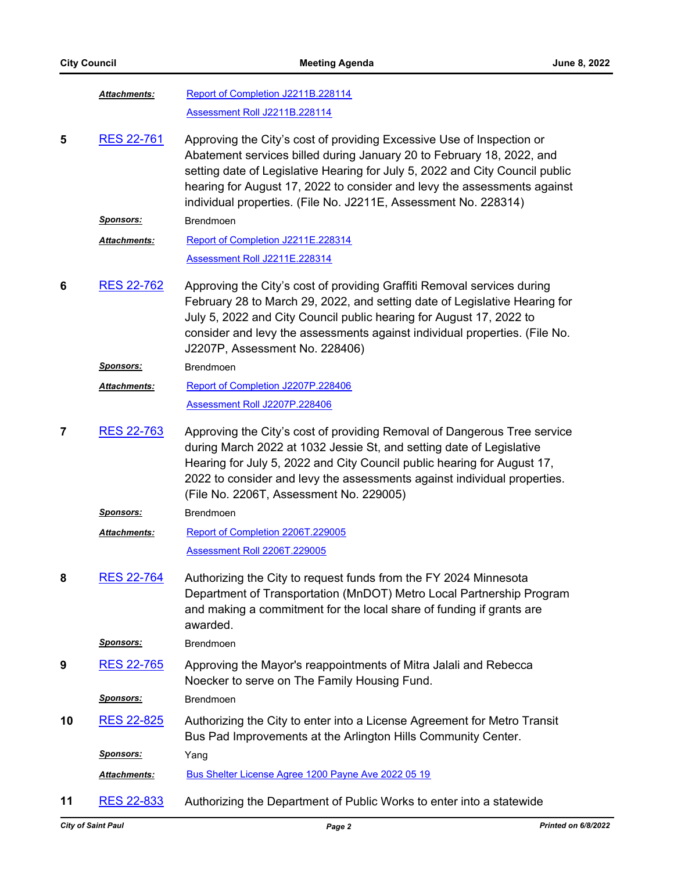|    | Attachments:        | Report of Completion J2211B.228114                                                                                                                                                                                                                                                                                                                                            |
|----|---------------------|-------------------------------------------------------------------------------------------------------------------------------------------------------------------------------------------------------------------------------------------------------------------------------------------------------------------------------------------------------------------------------|
|    |                     | Assessment Roll J2211B.228114                                                                                                                                                                                                                                                                                                                                                 |
| 5  | <b>RES 22-761</b>   | Approving the City's cost of providing Excessive Use of Inspection or<br>Abatement services billed during January 20 to February 18, 2022, and<br>setting date of Legislative Hearing for July 5, 2022 and City Council public<br>hearing for August 17, 2022 to consider and levy the assessments against<br>individual properties. (File No. J2211E, Assessment No. 228314) |
|    | Sponsors:           | Brendmoen                                                                                                                                                                                                                                                                                                                                                                     |
|    | Attachments:        | Report of Completion J2211E.228314                                                                                                                                                                                                                                                                                                                                            |
|    |                     | Assessment Roll J2211E.228314                                                                                                                                                                                                                                                                                                                                                 |
| 6  | <b>RES 22-762</b>   | Approving the City's cost of providing Graffiti Removal services during<br>February 28 to March 29, 2022, and setting date of Legislative Hearing for<br>July 5, 2022 and City Council public hearing for August 17, 2022 to<br>consider and levy the assessments against individual properties. (File No.<br>J2207P, Assessment No. 228406)                                  |
|    | <u>Sponsors:</u>    | <b>Brendmoen</b>                                                                                                                                                                                                                                                                                                                                                              |
|    | Attachments:        | Report of Completion J2207P.228406                                                                                                                                                                                                                                                                                                                                            |
|    |                     | Assessment Roll J2207P.228406                                                                                                                                                                                                                                                                                                                                                 |
| 7  | <b>RES 22-763</b>   | Approving the City's cost of providing Removal of Dangerous Tree service<br>during March 2022 at 1032 Jessie St, and setting date of Legislative<br>Hearing for July 5, 2022 and City Council public hearing for August 17,<br>2022 to consider and levy the assessments against individual properties.<br>(File No. 2206T, Assessment No. 229005)                            |
|    | <u>Sponsors:</u>    | <b>Brendmoen</b>                                                                                                                                                                                                                                                                                                                                                              |
|    | <b>Attachments:</b> | Report of Completion 2206T.229005                                                                                                                                                                                                                                                                                                                                             |
|    |                     | Assessment Roll 2206T.229005                                                                                                                                                                                                                                                                                                                                                  |
| 8  | <b>RES 22-764</b>   | Authorizing the City to request funds from the FY 2024 Minnesota<br>Department of Transportation (MnDOT) Metro Local Partnership Program<br>and making a commitment for the local share of funding if grants are<br>awarded.                                                                                                                                                  |
|    | Sponsors:           | Brendmoen                                                                                                                                                                                                                                                                                                                                                                     |
| 9  | <b>RES 22-765</b>   | Approving the Mayor's reappointments of Mitra Jalali and Rebecca<br>Noecker to serve on The Family Housing Fund.                                                                                                                                                                                                                                                              |
|    | <b>Sponsors:</b>    | Brendmoen                                                                                                                                                                                                                                                                                                                                                                     |
| 10 | RES 22-825          | Authorizing the City to enter into a License Agreement for Metro Transit<br>Bus Pad Improvements at the Arlington Hills Community Center.                                                                                                                                                                                                                                     |
|    | Sponsors:           | Yang                                                                                                                                                                                                                                                                                                                                                                          |
|    | Attachments:        | Bus Shelter License Agree 1200 Payne Ave 2022 05 19                                                                                                                                                                                                                                                                                                                           |
|    |                     |                                                                                                                                                                                                                                                                                                                                                                               |

**11** [RES 22-833](http://stpaul.legistar.com/gateway.aspx?m=l&id=/matter.aspx?key=41902) Authorizing the Department of Public Works to enter into a statewide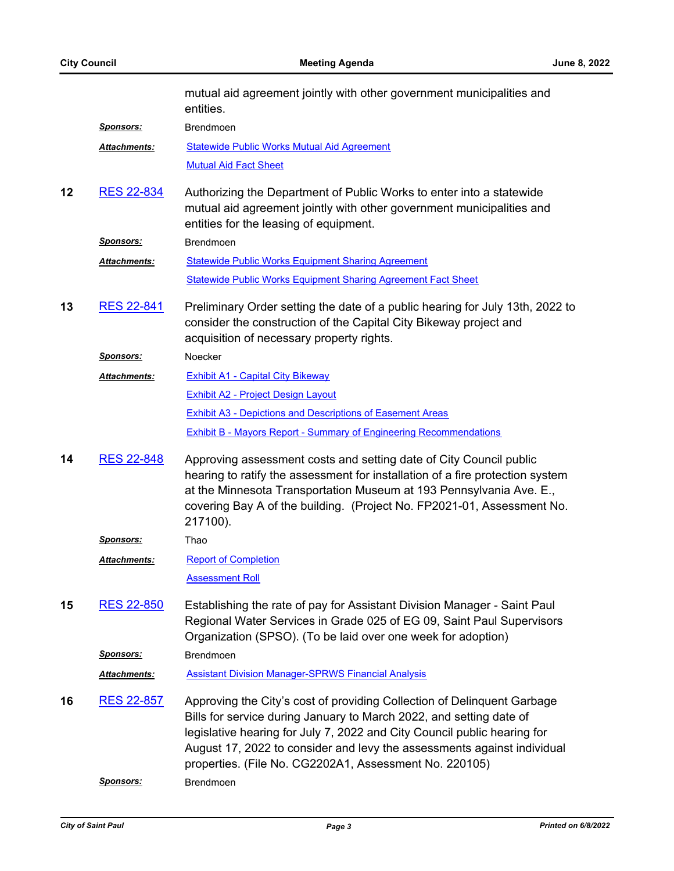|    |                     | mutual aid agreement jointly with other government municipalities and<br>entities.                                                                                                                                                                                                                                                                              |
|----|---------------------|-----------------------------------------------------------------------------------------------------------------------------------------------------------------------------------------------------------------------------------------------------------------------------------------------------------------------------------------------------------------|
|    | <u>Sponsors:</u>    | <b>Brendmoen</b>                                                                                                                                                                                                                                                                                                                                                |
|    | Attachments:        | <b>Statewide Public Works Mutual Aid Agreement</b>                                                                                                                                                                                                                                                                                                              |
|    |                     | <b>Mutual Aid Fact Sheet</b>                                                                                                                                                                                                                                                                                                                                    |
| 12 | <b>RES 22-834</b>   | Authorizing the Department of Public Works to enter into a statewide<br>mutual aid agreement jointly with other government municipalities and<br>entities for the leasing of equipment.                                                                                                                                                                         |
|    | Sponsors:           | <b>Brendmoen</b>                                                                                                                                                                                                                                                                                                                                                |
|    | Attachments:        | <b>Statewide Public Works Equipment Sharing Agreement</b>                                                                                                                                                                                                                                                                                                       |
|    |                     | <b>Statewide Public Works Equipment Sharing Agreement Fact Sheet</b>                                                                                                                                                                                                                                                                                            |
| 13 | <b>RES 22-841</b>   | Preliminary Order setting the date of a public hearing for July 13th, 2022 to<br>consider the construction of the Capital City Bikeway project and<br>acquisition of necessary property rights.                                                                                                                                                                 |
|    | <b>Sponsors:</b>    | Noecker                                                                                                                                                                                                                                                                                                                                                         |
|    | Attachments:        | <b>Exhibit A1 - Capital City Bikeway</b>                                                                                                                                                                                                                                                                                                                        |
|    |                     | <b>Exhibit A2 - Project Design Layout</b>                                                                                                                                                                                                                                                                                                                       |
|    |                     | <b>Exhibit A3 - Depictions and Descriptions of Easement Areas</b>                                                                                                                                                                                                                                                                                               |
|    |                     | <b>Exhibit B - Mayors Report - Summary of Engineering Recommendations</b>                                                                                                                                                                                                                                                                                       |
| 14 | <b>RES 22-848</b>   | Approving assessment costs and setting date of City Council public<br>hearing to ratify the assessment for installation of a fire protection system<br>at the Minnesota Transportation Museum at 193 Pennsylvania Ave. E.,<br>covering Bay A of the building. (Project No. FP2021-01, Assessment No.<br>217100).                                                |
|    | <u>Sponsors:</u>    | Thao                                                                                                                                                                                                                                                                                                                                                            |
|    | <b>Attachments:</b> | <b>Report of Completion</b>                                                                                                                                                                                                                                                                                                                                     |
|    |                     | <b>Assessment Roll</b>                                                                                                                                                                                                                                                                                                                                          |
| 15 | <b>RES 22-850</b>   | Establishing the rate of pay for Assistant Division Manager - Saint Paul<br>Regional Water Services in Grade 025 of EG 09, Saint Paul Supervisors<br>Organization (SPSO). (To be laid over one week for adoption)                                                                                                                                               |
|    | <b>Sponsors:</b>    | <b>Brendmoen</b>                                                                                                                                                                                                                                                                                                                                                |
|    | Attachments:        | <b>Assistant Division Manager-SPRWS Financial Analysis</b>                                                                                                                                                                                                                                                                                                      |
| 16 | <b>RES 22-857</b>   | Approving the City's cost of providing Collection of Delinquent Garbage<br>Bills for service during January to March 2022, and setting date of<br>legislative hearing for July 7, 2022 and City Council public hearing for<br>August 17, 2022 to consider and levy the assessments against individual<br>properties. (File No. CG2202A1, Assessment No. 220105) |
|    | <u>Sponsors:</u>    | <b>Brendmoen</b>                                                                                                                                                                                                                                                                                                                                                |
|    |                     |                                                                                                                                                                                                                                                                                                                                                                 |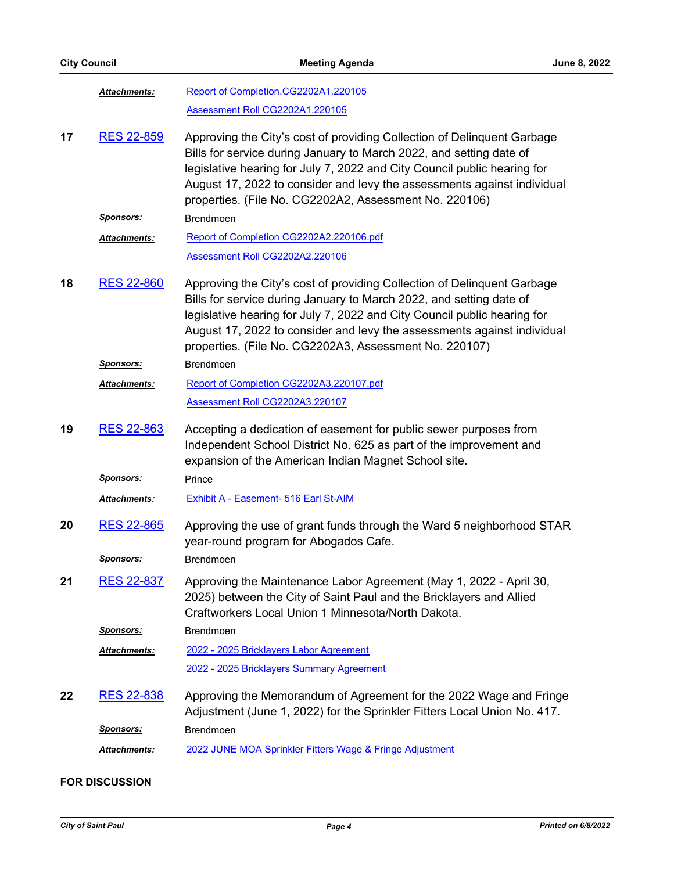|    | Attachments:         | Report of Completion.CG2202A1.220105                                                                                                                                                                                                                                                                                                                            |
|----|----------------------|-----------------------------------------------------------------------------------------------------------------------------------------------------------------------------------------------------------------------------------------------------------------------------------------------------------------------------------------------------------------|
|    |                      | Assessment Roll CG2202A1.220105                                                                                                                                                                                                                                                                                                                                 |
| 17 | <b>RES 22-859</b>    | Approving the City's cost of providing Collection of Delinquent Garbage<br>Bills for service during January to March 2022, and setting date of<br>legislative hearing for July 7, 2022 and City Council public hearing for<br>August 17, 2022 to consider and levy the assessments against individual<br>properties. (File No. CG2202A2, Assessment No. 220106) |
|    | <u>Sponsors:</u>     | <b>Brendmoen</b>                                                                                                                                                                                                                                                                                                                                                |
|    | Attachments:         | Report of Completion CG2202A2.220106.pdf                                                                                                                                                                                                                                                                                                                        |
|    |                      | Assessment Roll CG2202A2.220106                                                                                                                                                                                                                                                                                                                                 |
| 18 | <b>RES 22-860</b>    | Approving the City's cost of providing Collection of Delinquent Garbage<br>Bills for service during January to March 2022, and setting date of<br>legislative hearing for July 7, 2022 and City Council public hearing for<br>August 17, 2022 to consider and levy the assessments against individual<br>properties. (File No. CG2202A3, Assessment No. 220107) |
|    | <u>Sponsors:</u>     | <b>Brendmoen</b>                                                                                                                                                                                                                                                                                                                                                |
|    | <u> Attachments:</u> | Report of Completion CG2202A3.220107.pdf                                                                                                                                                                                                                                                                                                                        |
|    |                      | Assessment Roll CG2202A3.220107                                                                                                                                                                                                                                                                                                                                 |
| 19 | <b>RES 22-863</b>    | Accepting a dedication of easement for public sewer purposes from<br>Independent School District No. 625 as part of the improvement and<br>expansion of the American Indian Magnet School site.                                                                                                                                                                 |
|    | <u>Sponsors:</u>     | Prince                                                                                                                                                                                                                                                                                                                                                          |
|    | Attachments:         | <b>Exhibit A - Easement- 516 Earl St-AIM</b>                                                                                                                                                                                                                                                                                                                    |
| 20 | <b>RES 22-865</b>    | Approving the use of grant funds through the Ward 5 neighborhood STAR<br>year-round program for Abogados Cafe.                                                                                                                                                                                                                                                  |
|    | <b>Sponsors:</b>     | Brendmoen                                                                                                                                                                                                                                                                                                                                                       |
| 21 | <b>RES 22-837</b>    | Approving the Maintenance Labor Agreement (May 1, 2022 - April 30,<br>2025) between the City of Saint Paul and the Bricklayers and Allied<br>Craftworkers Local Union 1 Minnesota/North Dakota.                                                                                                                                                                 |
|    | Sponsors:            | Brendmoen                                                                                                                                                                                                                                                                                                                                                       |
|    | <b>Attachments:</b>  | 2022 - 2025 Bricklayers Labor Agreement                                                                                                                                                                                                                                                                                                                         |
|    |                      | 2022 - 2025 Bricklayers Summary Agreement                                                                                                                                                                                                                                                                                                                       |
| 22 | RES 22-838           | Approving the Memorandum of Agreement for the 2022 Wage and Fringe<br>Adjustment (June 1, 2022) for the Sprinkler Fitters Local Union No. 417.                                                                                                                                                                                                                  |
|    | <u>Sponsors:</u>     | Brendmoen                                                                                                                                                                                                                                                                                                                                                       |
|    | <u> Attachments:</u> | 2022 JUNE MOA Sprinkler Fitters Wage & Fringe Adjustment                                                                                                                                                                                                                                                                                                        |

# **FOR DISCUSSION**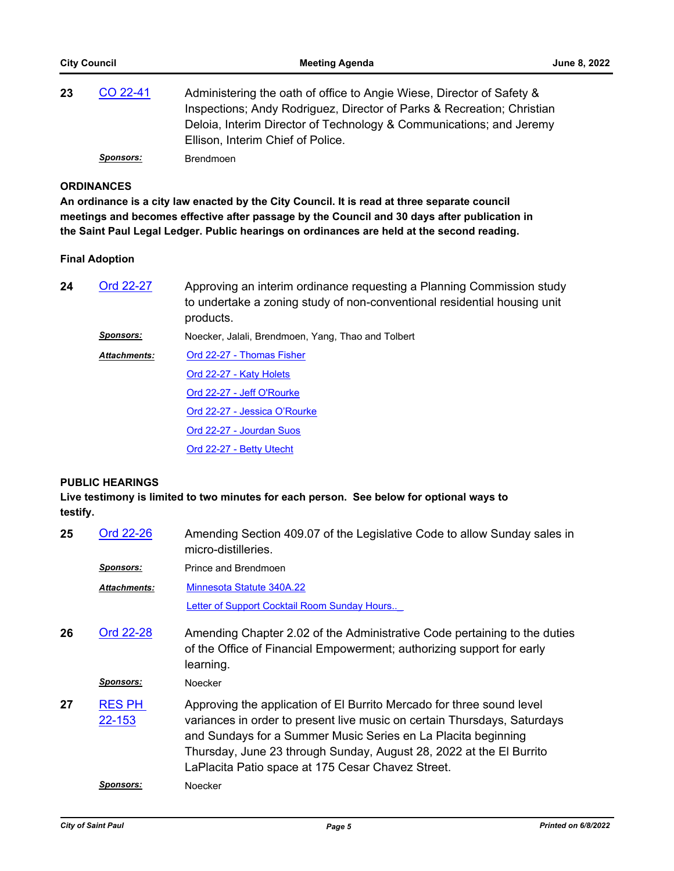| 23 | CO 22-41         | Administering the oath of office to Angie Wiese, Director of Safety &<br>Inspections; Andy Rodriguez, Director of Parks & Recreation; Christian<br>Deloia, Interim Director of Technology & Communications; and Jeremy<br>Ellison, Interim Chief of Police. |
|----|------------------|-------------------------------------------------------------------------------------------------------------------------------------------------------------------------------------------------------------------------------------------------------------|
|    | <b>Sponsors:</b> | Brendmoen                                                                                                                                                                                                                                                   |

## **ORDINANCES**

**An ordinance is a city law enacted by the City Council. It is read at three separate council meetings and becomes effective after passage by the Council and 30 days after publication in the Saint Paul Legal Ledger. Public hearings on ordinances are held at the second reading.**

#### **Final Adoption**

| 24 | Ord 22-27           | Approving an interim ordinance requesting a Planning Commission study<br>to undertake a zoning study of non-conventional residential housing unit<br>products. |
|----|---------------------|----------------------------------------------------------------------------------------------------------------------------------------------------------------|
|    | <b>Sponsors:</b>    | Noecker, Jalali, Brendmoen, Yang, Thao and Tolbert                                                                                                             |
|    | <b>Attachments:</b> | Ord 22-27 - Thomas Fisher                                                                                                                                      |
|    |                     | Ord 22-27 - Katy Holets                                                                                                                                        |
|    |                     | Ord 22-27 - Jeff O'Rourke                                                                                                                                      |
|    |                     | Ord 22-27 - Jessica O'Rourke                                                                                                                                   |
|    |                     | Ord 22-27 - Jourdan Suos                                                                                                                                       |
|    |                     | Ord 22-27 - Betty Utecht                                                                                                                                       |

#### **PUBLIC HEARINGS**

**Live testimony is limited to two minutes for each person. See below for optional ways to testify.**

| 25 | Ord 22-26               | Amending Section 409.07 of the Legislative Code to allow Sunday sales in<br>micro-distilleries.                                                                                                                                                                                                                                                |
|----|-------------------------|------------------------------------------------------------------------------------------------------------------------------------------------------------------------------------------------------------------------------------------------------------------------------------------------------------------------------------------------|
|    | <u>Sponsors:</u>        | Prince and Brendmoen                                                                                                                                                                                                                                                                                                                           |
|    | <b>Attachments:</b>     | Minnesota Statute 340A.22                                                                                                                                                                                                                                                                                                                      |
|    |                         | Letter of Support Cocktail Room Sunday Hours                                                                                                                                                                                                                                                                                                   |
| 26 | Ord 22-28               | Amending Chapter 2.02 of the Administrative Code pertaining to the duties<br>of the Office of Financial Empowerment; authorizing support for early<br>learning.                                                                                                                                                                                |
|    | <u>Sponsors:</u>        | Noecker                                                                                                                                                                                                                                                                                                                                        |
| 27 | <b>RES PH</b><br>22-153 | Approving the application of El Burrito Mercado for three sound level<br>variances in order to present live music on certain Thursdays, Saturdays<br>and Sundays for a Summer Music Series en La Placita beginning<br>Thursday, June 23 through Sunday, August 28, 2022 at the El Burrito<br>LaPlacita Patio space at 175 Cesar Chavez Street. |
|    | <b>Sponsors:</b>        | Noecker                                                                                                                                                                                                                                                                                                                                        |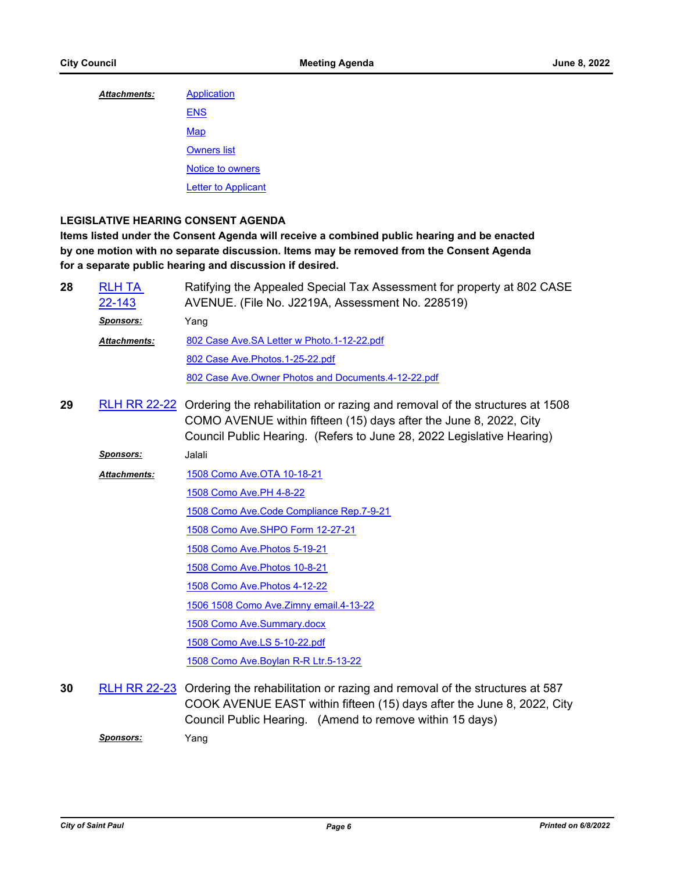| <b>Attachments:</b> | Application                |
|---------------------|----------------------------|
|                     | <b>ENS</b>                 |
|                     | Map                        |
|                     | <b>Owners list</b>         |
|                     | Notice to owners           |
|                     | <b>Letter to Applicant</b> |

# **LEGISLATIVE HEARING CONSENT AGENDA**

**Items listed under the Consent Agenda will receive a combined public hearing and be enacted by one motion with no separate discussion. Items may be removed from the Consent Agenda for a separate public hearing and discussion if desired.**

| 28 | <b>RLH TA</b><br>22-143 | Ratifying the Appealed Special Tax Assessment for property at 802 CASE<br>AVENUE. (File No. J2219A, Assessment No. 228519)                                                                                                             |
|----|-------------------------|----------------------------------------------------------------------------------------------------------------------------------------------------------------------------------------------------------------------------------------|
|    | <b>Sponsors:</b>        | Yang                                                                                                                                                                                                                                   |
|    | <b>Attachments:</b>     | 802 Case Ave.SA Letter w Photo.1-12-22.pdf                                                                                                                                                                                             |
|    |                         | 802 Case Ave. Photos. 1-25-22.pdf                                                                                                                                                                                                      |
|    |                         | 802 Case Ave. Owner Photos and Documents. 4-12-22.pdf                                                                                                                                                                                  |
| 29 |                         | RLH RR 22-22 Ordering the rehabilitation or razing and removal of the structures at 1508<br>COMO AVENUE within fifteen (15) days after the June 8, 2022, City<br>Council Public Hearing. (Refers to June 28, 2022 Legislative Hearing) |
|    | <b>Sponsors:</b>        | Jalali                                                                                                                                                                                                                                 |
|    | <b>Attachments:</b>     | 1508 Como Ave. OTA 10-18-21                                                                                                                                                                                                            |
|    |                         | 1508 Como Ave.PH 4-8-22                                                                                                                                                                                                                |
|    |                         | 1508 Como Ave.Code Compliance Rep.7-9-21                                                                                                                                                                                               |
|    |                         | 1508 Como Ave. SHPO Form 12-27-21                                                                                                                                                                                                      |
|    |                         | 1508 Como Ave. Photos 5-19-21                                                                                                                                                                                                          |
|    |                         | 1508 Como Ave. Photos 10-8-21                                                                                                                                                                                                          |
|    |                         | 1508 Como Ave. Photos 4-12-22                                                                                                                                                                                                          |
|    |                         | 1506 1508 Como Ave. Zimny email. 4-13-22                                                                                                                                                                                               |
|    |                         | 1508 Como Ave.Summary.docx                                                                                                                                                                                                             |
|    |                         | 1508 Como Ave.LS 5-10-22.pdf                                                                                                                                                                                                           |
|    |                         | 1508 Como Ave. Boylan R-R Ltr. 5-13-22                                                                                                                                                                                                 |
| 30 |                         | RLH RR 22-23 Ordering the rehabilitation or razing and removal of the structures at 587                                                                                                                                                |

COOK AVENUE EAST within fifteen (15) days after the June 8, 2022, City Council Public Hearing. (Amend to remove within 15 days)

*Sponsors:* Yang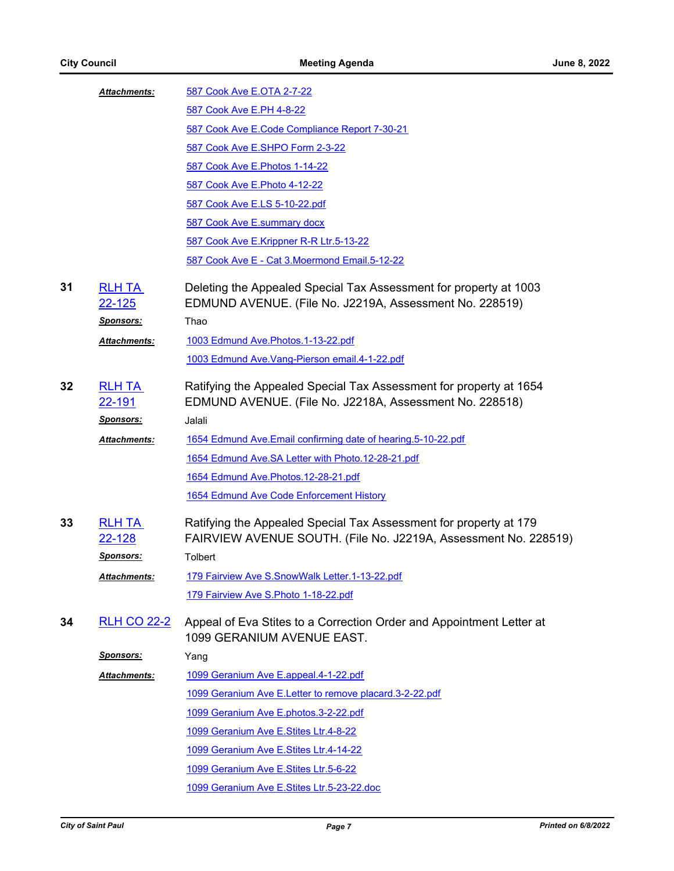|    | Attachments:                   | 587 Cook Ave E.OTA 2-7-22                                                                                                            |
|----|--------------------------------|--------------------------------------------------------------------------------------------------------------------------------------|
|    |                                | 587 Cook Ave E.PH 4-8-22                                                                                                             |
|    |                                | 587 Cook Ave E.Code Compliance Report 7-30-21                                                                                        |
|    |                                | 587 Cook Ave E.SHPO Form 2-3-22                                                                                                      |
|    |                                | 587 Cook Ave E. Photos 1-14-22                                                                                                       |
|    |                                | 587 Cook Ave E. Photo 4-12-22                                                                                                        |
|    |                                | 587 Cook Ave E.LS 5-10-22.pdf                                                                                                        |
|    |                                | 587 Cook Ave E.summary docx                                                                                                          |
|    |                                | 587 Cook Ave E.Krippner R-R Ltr.5-13-22                                                                                              |
|    |                                | 587 Cook Ave E - Cat 3. Moermond Email. 5-12-22                                                                                      |
| 31 | <b>RLH TA</b><br><u>22-125</u> | Deleting the Appealed Special Tax Assessment for property at 1003<br>EDMUND AVENUE. (File No. J2219A, Assessment No. 228519)         |
|    | <u>Sponsors:</u>               | Thao                                                                                                                                 |
|    | Attachments:                   | 1003 Edmund Ave. Photos. 1-13-22.pdf                                                                                                 |
|    |                                | 1003 Edmund Ave. Vang-Pierson email. 4-1-22.pdf                                                                                      |
| 32 | <b>RLH TA</b><br><u>22-191</u> | Ratifying the Appealed Special Tax Assessment for property at 1654<br>EDMUND AVENUE. (File No. J2218A, Assessment No. 228518)        |
|    | <u>Sponsors:</u>               | Jalali                                                                                                                               |
|    | Attachments:                   | 1654 Edmund Ave.Email confirming date of hearing.5-10-22.pdf                                                                         |
|    |                                | 1654 Edmund Ave.SA Letter with Photo.12-28-21.pdf                                                                                    |
|    |                                | 1654 Edmund Ave. Photos. 12-28-21.pdf                                                                                                |
|    |                                | 1654 Edmund Ave Code Enforcement History                                                                                             |
| 33 | <b>RLH TA</b><br>22-128        | Ratifying the Appealed Special Tax Assessment for property at 179<br>FAIRVIEW AVENUE SOUTH. (File No. J2219A, Assessment No. 228519) |
|    | <b>Sponsors:</b>               | Tolbert                                                                                                                              |
|    | Attachments:                   | 179 Fairview Ave S.SnowWalk Letter.1-13-22.pdf                                                                                       |
|    |                                | 179 Fairview Ave S. Photo 1-18-22.pdf                                                                                                |
| 34 | <u>RLH CO 22-2</u>             | Appeal of Eva Stites to a Correction Order and Appointment Letter at<br>1099 GERANIUM AVENUE EAST.                                   |
|    | <b>Sponsors:</b>               | Yang                                                                                                                                 |
|    | <b>Attachments:</b>            | 1099 Geranium Ave E.appeal.4-1-22.pdf                                                                                                |
|    |                                | 1099 Geranium Ave E.Letter to remove placard.3-2-22.pdf                                                                              |
|    |                                | 1099 Geranium Ave E.photos.3-2-22.pdf                                                                                                |
|    |                                | 1099 Geranium Ave E.Stites Ltr.4-8-22                                                                                                |
|    |                                | 1099 Geranium Ave E.Stites Ltr.4-14-22                                                                                               |
|    |                                | 1099 Geranium Ave E.Stites Ltr.5-6-22                                                                                                |
|    |                                | 1099 Geranium Ave E.Stites Ltr.5-23-22.doc                                                                                           |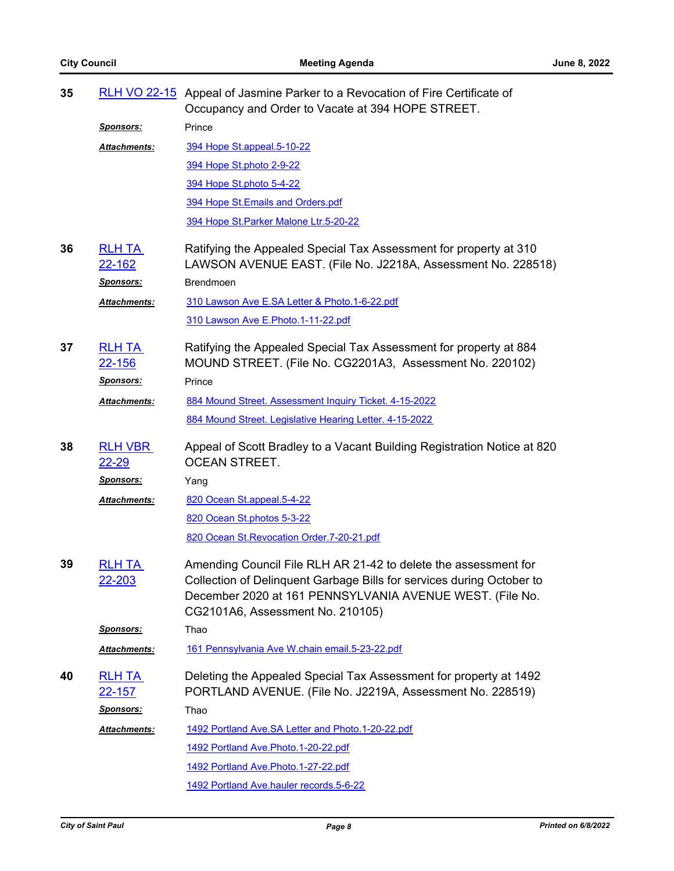| 35 |                                | RLH VO 22-15 Appeal of Jasmine Parker to a Revocation of Fire Certificate of<br>Occupancy and Order to Vacate at 394 HOPE STREET.                                                                                                        |
|----|--------------------------------|------------------------------------------------------------------------------------------------------------------------------------------------------------------------------------------------------------------------------------------|
|    | <u>Sponsors:</u>               | Prince                                                                                                                                                                                                                                   |
|    | Attachments:                   | 394 Hope St.appeal.5-10-22                                                                                                                                                                                                               |
|    |                                | 394 Hope St.photo 2-9-22                                                                                                                                                                                                                 |
|    |                                | 394 Hope St.photo 5-4-22                                                                                                                                                                                                                 |
|    |                                | 394 Hope St. Emails and Orders.pdf                                                                                                                                                                                                       |
|    |                                | 394 Hope St. Parker Malone Ltr. 5-20-22                                                                                                                                                                                                  |
| 36 | <b>RLH TA</b><br><u>22-162</u> | Ratifying the Appealed Special Tax Assessment for property at 310<br>LAWSON AVENUE EAST. (File No. J2218A, Assessment No. 228518)                                                                                                        |
|    | Sponsors:                      | <b>Brendmoen</b>                                                                                                                                                                                                                         |
|    | Attachments:                   | 310 Lawson Ave E.SA Letter & Photo.1-6-22.pdf                                                                                                                                                                                            |
|    |                                | 310 Lawson Ave E.Photo.1-11-22.pdf                                                                                                                                                                                                       |
| 37 | <b>RLH TA</b><br><u>22-156</u> | Ratifying the Appealed Special Tax Assessment for property at 884<br>MOUND STREET. (File No. CG2201A3, Assessment No. 220102)                                                                                                            |
|    | <u>Sponsors:</u>               | Prince                                                                                                                                                                                                                                   |
|    | Attachments:                   | 884 Mound Street. Assessment Inquiry Ticket. 4-15-2022                                                                                                                                                                                   |
|    |                                | 884 Mound Street. Legislative Hearing Letter. 4-15-2022                                                                                                                                                                                  |
| 38 | <b>RLH VBR</b><br>$22 - 29$    | Appeal of Scott Bradley to a Vacant Building Registration Notice at 820<br><b>OCEAN STREET.</b>                                                                                                                                          |
|    | <u>Sponsors:</u>               | Yang                                                                                                                                                                                                                                     |
|    | Attachments:                   | 820 Ocean St.appeal.5-4-22                                                                                                                                                                                                               |
|    |                                | 820 Ocean St.photos 5-3-22                                                                                                                                                                                                               |
|    |                                | 820 Ocean St. Revocation Order. 7-20-21.pdf                                                                                                                                                                                              |
| 39 | <b>RLH TA</b><br><u>22-203</u> | Amending Council File RLH AR 21-42 to delete the assessment for<br>Collection of Delinquent Garbage Bills for services during October to<br>December 2020 at 161 PENNSYLVANIA AVENUE WEST. (File No.<br>CG2101A6, Assessment No. 210105) |
|    | <u>Sponsors:</u>               | Thao                                                                                                                                                                                                                                     |
|    | Attachments:                   | 161 Pennsylvania Ave W.chain email.5-23-22.pdf                                                                                                                                                                                           |
| 40 | <b>RLH TA</b><br>22-157        | Deleting the Appealed Special Tax Assessment for property at 1492<br>PORTLAND AVENUE. (File No. J2219A, Assessment No. 228519)                                                                                                           |
|    | Sponsors:                      | Thao                                                                                                                                                                                                                                     |
|    | Attachments:                   | 1492 Portland Ave.SA Letter and Photo.1-20-22.pdf                                                                                                                                                                                        |
|    |                                | 1492 Portland Ave. Photo. 1-20-22.pdf                                                                                                                                                                                                    |
|    |                                | 1492 Portland Ave. Photo. 1-27-22.pdf                                                                                                                                                                                                    |
|    |                                | 1492 Portland Ave.hauler records.5-6-22                                                                                                                                                                                                  |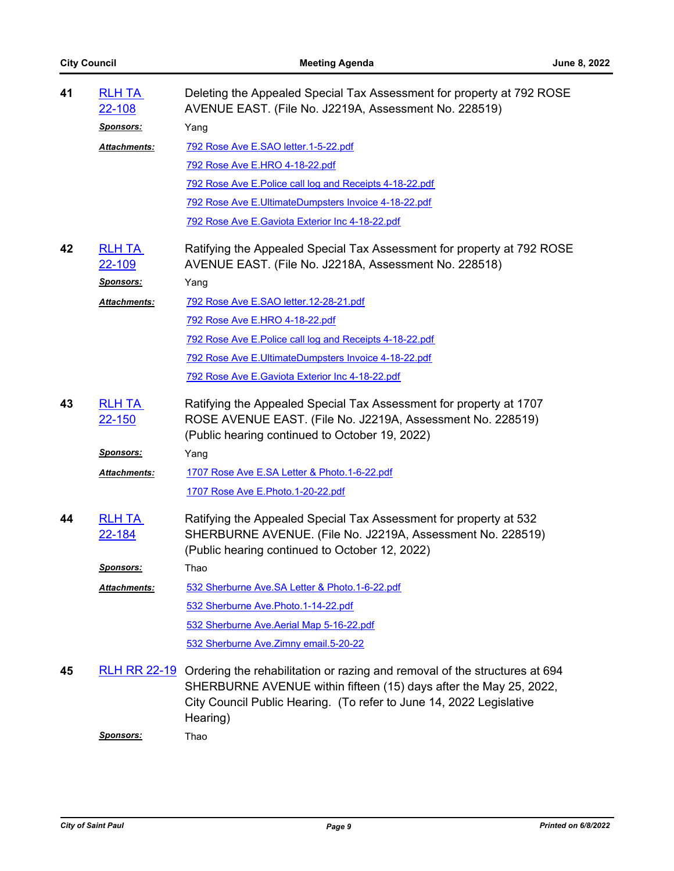| 41 | <b>RLH TA</b><br>22-108        | Deleting the Appealed Special Tax Assessment for property at 792 ROSE<br>AVENUE EAST. (File No. J2219A, Assessment No. 228519)                                                                                                                  |
|----|--------------------------------|-------------------------------------------------------------------------------------------------------------------------------------------------------------------------------------------------------------------------------------------------|
|    | <u>Sponsors:</u>               | Yang                                                                                                                                                                                                                                            |
|    | Attachments:                   | 792 Rose Ave E.SAO letter.1-5-22.pdf                                                                                                                                                                                                            |
|    |                                | 792 Rose Ave E.HRO 4-18-22.pdf                                                                                                                                                                                                                  |
|    |                                | 792 Rose Ave E. Police call log and Receipts 4-18-22.pdf                                                                                                                                                                                        |
|    |                                | 792 Rose Ave E.UltimateDumpsters Invoice 4-18-22.pdf                                                                                                                                                                                            |
|    |                                | 792 Rose Ave E.Gaviota Exterior Inc 4-18-22.pdf                                                                                                                                                                                                 |
| 42 | <b>RLH TA</b><br><u>22-109</u> | Ratifying the Appealed Special Tax Assessment for property at 792 ROSE<br>AVENUE EAST. (File No. J2218A, Assessment No. 228518)                                                                                                                 |
|    | <b>Sponsors:</b>               | Yang                                                                                                                                                                                                                                            |
|    | Attachments:                   | <u>792 Rose Ave E.SAO letter.12-28-21.pdf</u>                                                                                                                                                                                                   |
|    |                                | 792 Rose Ave E.HRO 4-18-22.pdf                                                                                                                                                                                                                  |
|    |                                | 792 Rose Ave E. Police call log and Receipts 4-18-22.pdf                                                                                                                                                                                        |
|    |                                | 792 Rose Ave E.UltimateDumpsters Invoice 4-18-22.pdf                                                                                                                                                                                            |
|    |                                | 792 Rose Ave E.Gaviota Exterior Inc 4-18-22.pdf                                                                                                                                                                                                 |
| 43 | <b>RLH TA</b><br>22-150        | Ratifying the Appealed Special Tax Assessment for property at 1707<br>ROSE AVENUE EAST. (File No. J2219A, Assessment No. 228519)<br>(Public hearing continued to October 19, 2022)                                                              |
|    | <u>Sponsors:</u>               | Yang                                                                                                                                                                                                                                            |
|    | Attachments:                   | 1707 Rose Ave E.SA Letter & Photo.1-6-22.pdf                                                                                                                                                                                                    |
|    |                                | <u>1707 Rose Ave E.Photo.1-20-22.pdf</u>                                                                                                                                                                                                        |
| 44 | <b>RLH TA</b><br>22-184        | Ratifying the Appealed Special Tax Assessment for property at 532<br>SHERBURNE AVENUE. (File No. J2219A, Assessment No. 228519)<br>(Public hearing continued to October 12, 2022)                                                               |
|    | <u>Sponsors:</u>               | Thao                                                                                                                                                                                                                                            |
|    | Attachments:                   | 532 Sherburne Ave. SA Letter & Photo. 1-6-22.pdf                                                                                                                                                                                                |
|    |                                | 532 Sherburne Ave. Photo. 1-14-22.pdf                                                                                                                                                                                                           |
|    |                                | 532 Sherburne Ave.Aerial Map 5-16-22.pdf                                                                                                                                                                                                        |
|    |                                | 532 Sherburne Ave. Zimny email. 5-20-22                                                                                                                                                                                                         |
| 45 |                                | RLH RR 22-19 Ordering the rehabilitation or razing and removal of the structures at 694<br>SHERBURNE AVENUE within fifteen (15) days after the May 25, 2022,<br>City Council Public Hearing. (To refer to June 14, 2022 Legislative<br>Hearing) |
|    | <u>Sponsors:</u>               | Thao                                                                                                                                                                                                                                            |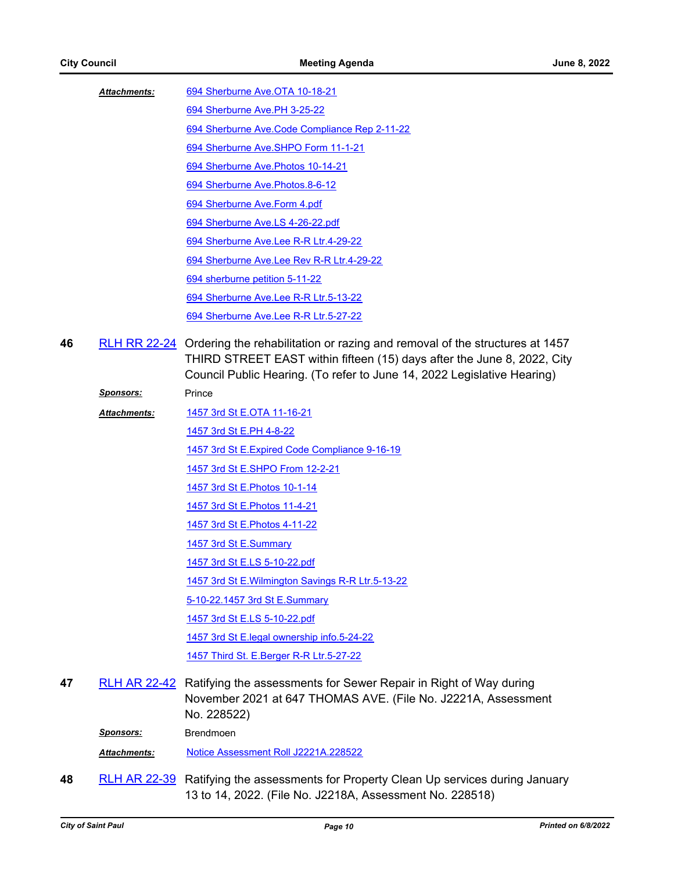[694 Sherburne Ave.OTA 10-18-21](http://StPaul.legistar.com/gateway.aspx?M=F&ID=9c0b65ce-27d9-479a-a545-a0e692783bab.pdf) *Attachments:*

- [694 Sherburne Ave.PH 3-25-22](http://StPaul.legistar.com/gateway.aspx?M=F&ID=3b1ea7d1-3d94-4b50-8978-062214301144.pdf) [694 Sherburne Ave.Code Compliance Rep 2-11-22](http://StPaul.legistar.com/gateway.aspx?M=F&ID=630a433b-b110-4f9a-8703-ca3a498ef6f4.pdf) [694 Sherburne Ave.SHPO Form 11-1-21](http://StPaul.legistar.com/gateway.aspx?M=F&ID=95c10d05-8445-4850-8077-ef0b64bf28de.pdf) [694 Sherburne Ave.Photos 10-14-21](http://StPaul.legistar.com/gateway.aspx?M=F&ID=e2b82c8d-f4d9-410f-921f-445db83aacb1.pdf) [694 Sherburne Ave.Photos.8-6-12](http://StPaul.legistar.com/gateway.aspx?M=F&ID=6082ad01-013b-4dd3-9a7b-6caf1c12a616.doc) [694 Sherburne Ave.Form 4.pdf](http://StPaul.legistar.com/gateway.aspx?M=F&ID=4c91856b-3164-473d-a576-f2c6311256ee.pdf) [694 Sherburne Ave.LS 4-26-22.pdf](http://StPaul.legistar.com/gateway.aspx?M=F&ID=bb04e399-933d-45b5-84f3-a300ff405212.pdf) [694 Sherburne Ave.Lee R-R Ltr.4-29-22](http://StPaul.legistar.com/gateway.aspx?M=F&ID=e7d1ce69-d041-41c4-ba18-152f47c58452.pdf) [694 Sherburne Ave.Lee Rev R-R Ltr.4-29-22](http://StPaul.legistar.com/gateway.aspx?M=F&ID=6245d0cb-014b-4135-bdab-0ce85352a4ea.pdf) [694 sherburne petition 5-11-22](http://StPaul.legistar.com/gateway.aspx?M=F&ID=066ca7db-378f-467f-b83e-fcd3e731c52b.pdf) [694 Sherburne Ave.Lee R-R Ltr.5-13-22](http://StPaul.legistar.com/gateway.aspx?M=F&ID=f0fda42d-c0f7-4d5c-88c6-ff85256e8516.pdf) [694 Sherburne Ave.Lee R-R Ltr.5-27-22](http://StPaul.legistar.com/gateway.aspx?M=F&ID=0873fe5e-9cbb-4aa0-b7a2-7e1fdfa49eb9.pdf)
- 46 [RLH RR 22-24](http://stpaul.legistar.com/gateway.aspx?m=l&id=/matter.aspx?key=41599) Ordering the rehabilitation or razing and removal of the structures at 1457 THIRD STREET EAST within fifteen (15) days after the June 8, 2022, City Council Public Hearing. (To refer to June 14, 2022 Legislative Hearing)

| <b>Sponsors:</b>    | Prince                                                               |
|---------------------|----------------------------------------------------------------------|
| <b>Attachments:</b> | 1457 3rd St E.OTA 11-16-21                                           |
|                     | 1457 3rd St E.PH 4-8-22                                              |
|                     | 1457 3rd St E. Expired Code Compliance 9-16-19                       |
|                     | 1457 3rd St E.SHPO From 12-2-21                                      |
|                     | 1457 3rd St E. Photos 10-1-14                                        |
|                     | 1457 3rd St E. Photos 11-4-21                                        |
|                     | 1457 3rd St E. Photos 4-11-22                                        |
|                     | 1457 3rd St E.Summary                                                |
|                     | 1457 3rd St E.LS 5-10-22.pdf                                         |
|                     | 1457 3rd St E. Wilmington Savings R-R Ltr. 5-13-22                   |
|                     | 5-10-22.1457 3rd St E.Summary                                        |
|                     | 1457 3rd St E.LS 5-10-22.pdf                                         |
|                     | 1457 3rd St E.legal ownership info.5-24-22                           |
|                     | 1457 Third St. E.Berger R-R Ltr.5-27-22                              |
|                     | <b>RLH AR 22-42</b> Ratifying the assessments for Sewer Repair in Ri |

ght of Way during November 2021 at 647 THOMAS AVE. (File No. J2221A, Assessment No. 228522) **47** [RLH AR 22-42](http://stpaul.legistar.com/gateway.aspx?m=l&id=/matter.aspx?key=41473)

*Sponsors:* Brendmoen

*Attachments:* [Notice Assessment Roll J2221A.228522](http://StPaul.legistar.com/gateway.aspx?M=F&ID=fc8f9f37-dcc4-4a0a-973d-1cbdc96d7574.pdf)

Ratifying the assessments for Property Clean Up services during January 13 to 14, 2022. (File No. J2218A, Assessment No. 228518) **48** [RLH AR 22-39](http://stpaul.legistar.com/gateway.aspx?m=l&id=/matter.aspx?key=41469)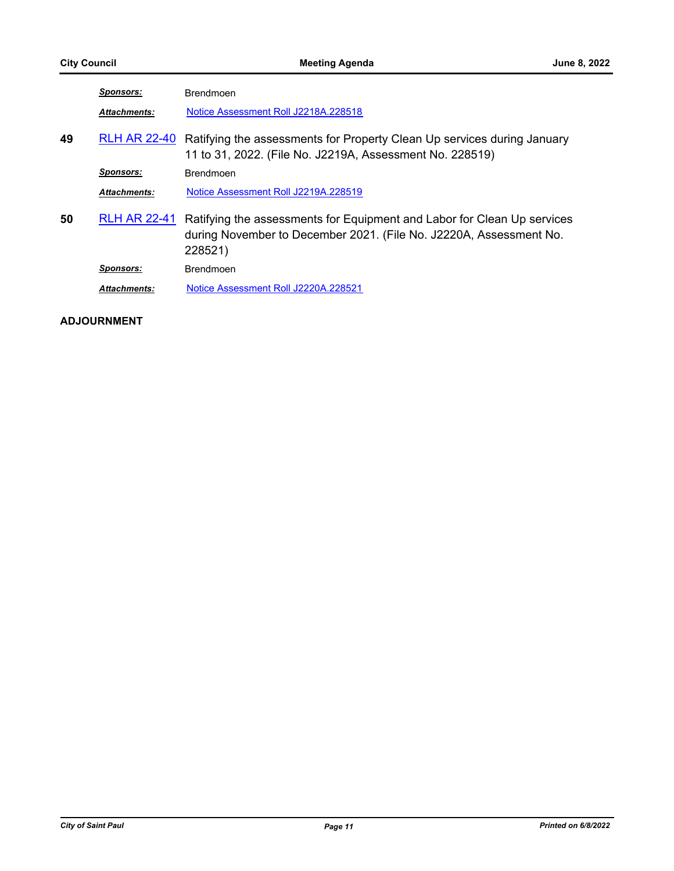|    | <b>Sponsors:</b>    | <b>Brendmoen</b>                                                                                                                                         |
|----|---------------------|----------------------------------------------------------------------------------------------------------------------------------------------------------|
|    | <b>Attachments:</b> | Notice Assessment Roll J2218A.228518                                                                                                                     |
| 49 | <b>RLH AR 22-40</b> | Ratifying the assessments for Property Clean Up services during January<br>11 to 31, 2022. (File No. J2219A, Assessment No. 228519)                      |
|    | <b>Sponsors:</b>    | <b>Brendmoen</b>                                                                                                                                         |
|    | <b>Attachments:</b> | Notice Assessment Roll J2219A.228519                                                                                                                     |
| 50 | <b>RLH AR 22-41</b> | Ratifying the assessments for Equipment and Labor for Clean Up services<br>during November to December 2021. (File No. J2220A, Assessment No.<br>228521) |
|    | <b>Sponsors:</b>    | <b>Brendmoen</b>                                                                                                                                         |
|    | <b>Attachments:</b> | Notice Assessment Roll J2220A.228521                                                                                                                     |

# **ADJOURNMENT**